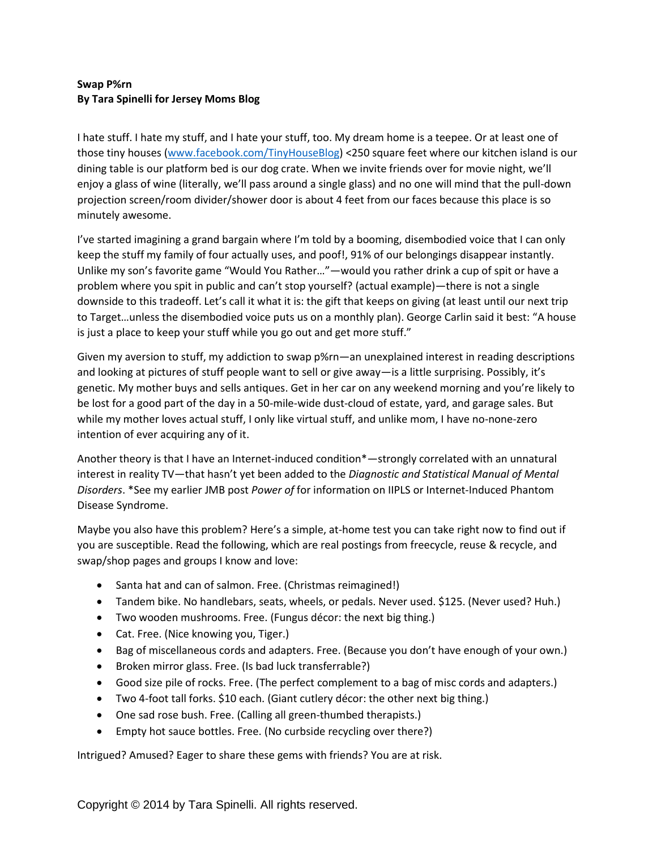## **Swap P%rn By Tara Spinelli for Jersey Moms Blog**

I hate stuff. I hate my stuff, and I hate your stuff, too. My dream home is a teepee. Or at least one of those tiny houses [\(www.facebook.com/TinyHouseBlog\)](http://www.facebook.com/TinyHouseBlog) <250 square feet where our kitchen island is our dining table is our platform bed is our dog crate. When we invite friends over for movie night, we'll enjoy a glass of wine (literally, we'll pass around a single glass) and no one will mind that the pull-down projection screen/room divider/shower door is about 4 feet from our faces because this place is so minutely awesome.

I've started imagining a grand bargain where I'm told by a booming, disembodied voice that I can only keep the stuff my family of four actually uses, and poof!, 91% of our belongings disappear instantly. Unlike my son's favorite game "Would You Rather…"—would you rather drink a cup of spit or have a problem where you spit in public and can't stop yourself? (actual example)—there is not a single downside to this tradeoff. Let's call it what it is: the gift that keeps on giving (at least until our next trip to Target…unless the disembodied voice puts us on a monthly plan). George Carlin said it best: "A house is just a place to keep your stuff while you go out and get more stuff."

Given my aversion to stuff, my addiction to swap p%rn—an unexplained interest in reading descriptions and looking at pictures of stuff people want to sell or give away—is a little surprising. Possibly, it's genetic. My mother buys and sells antiques. Get in her car on any weekend morning and you're likely to be lost for a good part of the day in a 50-mile-wide dust-cloud of estate, yard, and garage sales. But while my mother loves actual stuff, I only like virtual stuff, and unlike mom, I have no-none-zero intention of ever acquiring any of it.

Another theory is that I have an Internet-induced condition\*—strongly correlated with an unnatural interest in reality TV—that hasn't yet been added to the *Diagnostic and Statistical Manual of Mental Disorders*. \*See my earlier JMB post *Power of* for information on IIPLS or Internet-Induced Phantom Disease Syndrome.

Maybe you also have this problem? Here's a simple, at-home test you can take right now to find out if you are susceptible. Read the following, which are real postings from freecycle, reuse & recycle, and swap/shop pages and groups I know and love:

- Santa hat and can of salmon. Free. (Christmas reimagined!)
- Tandem bike. No handlebars, seats, wheels, or pedals. Never used. \$125. (Never used? Huh.)
- Two wooden mushrooms. Free. (Fungus décor: the next big thing.)
- Cat. Free. (Nice knowing you, Tiger.)
- Bag of miscellaneous cords and adapters. Free. (Because you don't have enough of your own.)
- Broken mirror glass. Free. (Is bad luck transferrable?)
- Good size pile of rocks. Free. (The perfect complement to a bag of misc cords and adapters.)
- Two 4-foot tall forks. \$10 each. (Giant cutlery décor: the other next big thing.)
- One sad rose bush. Free. (Calling all green-thumbed therapists.)
- Empty hot sauce bottles. Free. (No curbside recycling over there?)

Intrigued? Amused? Eager to share these gems with friends? You are at risk.